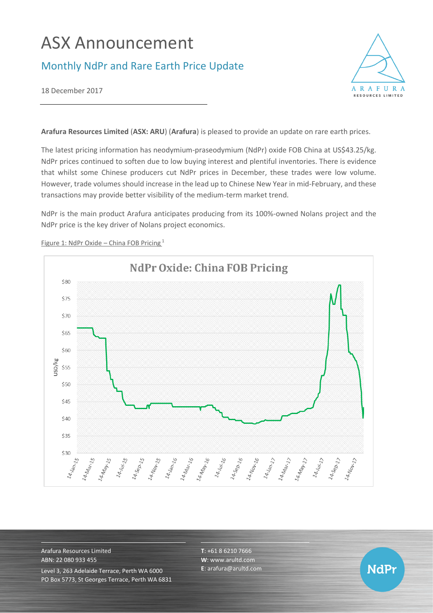# ASX Announcement

## Monthly NdPr and Rare Earth Price Update



18 December 2017

**Arafura Resources Limited** (**ASX: ARU**) (**Arafura**) is pleased to provide an update on rare earth prices.

The latest pricing information has neodymium-praseodymium (NdPr) oxide FOB China at US\$43.25/kg. NdPr prices continued to soften due to low buying interest and plentiful inventories. There is evidence that whilst some Chinese producers cut NdPr prices in December, these trades were low volume. However, trade volumes should increase in the lead up to Chinese New Year in mid-February, and these transactions may provide better visibility of the medium-term market trend.

NdPr is the main product Arafura anticipates producing from its 100%-owned Nolans project and the NdPr price is the key driver of Nolans project economics.



Figure 1: NdPr Oxide – China FOB Pricing <sup>1</sup>

Arafura Resources Limited ABN: 22 080 933 455 Level 3, 263 Adelaide Terrace, Perth WA 6000 PO Box 5773, St Georges Terrace, Perth WA 6831 **T**: +61 8 6210 7666 **W**: [www.arultd.com](http://www.arultd.com/) **E**[: arafura@arultd.com](mailto:arafura@arultd.com)

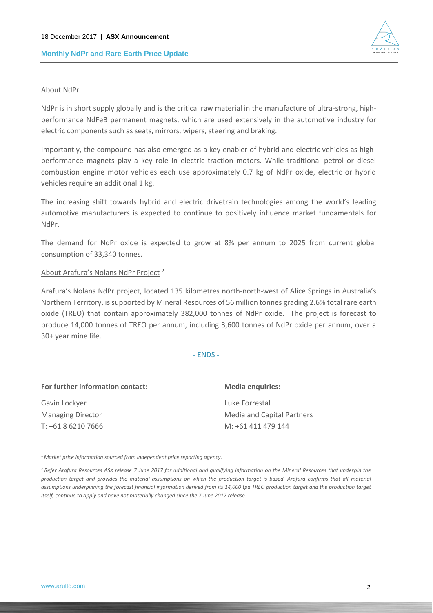

#### About NdPr

NdPr is in short supply globally and is the critical raw material in the manufacture of ultra-strong, highperformance NdFeB permanent magnets, which are used extensively in the automotive industry for electric components such as seats, mirrors, wipers, steering and braking.

Importantly, the compound has also emerged as a key enabler of hybrid and electric vehicles as highperformance magnets play a key role in electric traction motors. While traditional petrol or diesel combustion engine motor vehicles each use approximately 0.7 kg of NdPr oxide, electric or hybrid vehicles require an additional 1 kg.

The increasing shift towards hybrid and electric drivetrain technologies among the world's leading automotive manufacturers is expected to continue to positively influence market fundamentals for NdPr.

The demand for NdPr oxide is expected to grow at 8% per annum to 2025 from current global consumption of 33,340 tonnes.

#### About Arafura's Nolans NdPr Project <sup>2</sup>

Arafura's Nolans NdPr project, located 135 kilometres north-north-west of Alice Springs in Australia's Northern Territory, is supported by Mineral Resources of 56 million tonnes grading 2.6% total rare earth oxide (TREO) that contain approximately 382,000 tonnes of NdPr oxide. The project is forecast to produce 14,000 tonnes of TREO per annum, including 3,600 tonnes of NdPr oxide per annum, over a 30+ year mine life.

- ENDS -

| For further information contact: | <b>Media enquiries:</b>    |
|----------------------------------|----------------------------|
| Gavin Lockyer                    | Luke Forrestal             |
| <b>Managing Director</b>         | Media and Capital Partners |
| T: +61 8 6210 7666               | M: +61 411 479 144         |

<sup>1</sup>*Market price information sourced from independent price reporting agency.*

<sup>2</sup>*Refer Arafura Resources ASX release 7 June 2017 for additional and qualifying information on the Mineral Resources that underpin the production target and provides the material assumptions on which the production target is based. Arafura confirms that all material*  assumptions underpinning the forecast financial information derived from its 14,000 tpa TREO production target and the production target *itself, continue to apply and have not materially changed since the 7 June 2017 release.*